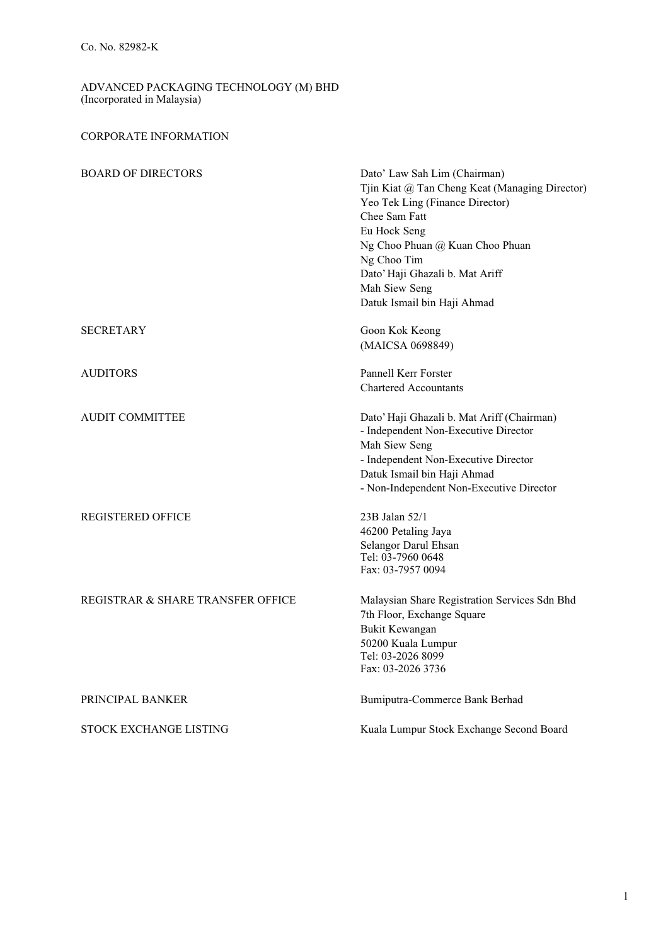## CORPORATE INFORMATION

| <b>BOARD OF DIRECTORS</b>         | Dato' Law Sah Lim (Chairman)<br>Tjin Kiat @ Tan Cheng Keat (Managing Director) |
|-----------------------------------|--------------------------------------------------------------------------------|
|                                   | Yeo Tek Ling (Finance Director)                                                |
|                                   | Chee Sam Fatt                                                                  |
|                                   | Eu Hock Seng                                                                   |
|                                   | Ng Choo Phuan @ Kuan Choo Phuan                                                |
|                                   | Ng Choo Tim                                                                    |
|                                   | Dato' Haji Ghazali b. Mat Ariff                                                |
|                                   | Mah Siew Seng                                                                  |
|                                   | Datuk Ismail bin Haji Ahmad                                                    |
| SECRETARY                         | Goon Kok Keong                                                                 |
|                                   | (MAICSA 0698849)                                                               |
| <b>AUDITORS</b>                   | Pannell Kerr Forster                                                           |
|                                   | <b>Chartered Accountants</b>                                                   |
| <b>AUDIT COMMITTEE</b>            | Dato' Haji Ghazali b. Mat Ariff (Chairman)                                     |
|                                   | - Independent Non-Executive Director                                           |
|                                   | Mah Siew Seng                                                                  |
|                                   | - Independent Non-Executive Director                                           |
|                                   | Datuk Ismail bin Haji Ahmad                                                    |
|                                   | - Non-Independent Non-Executive Director                                       |
| <b>REGISTERED OFFICE</b>          | 23B Jalan 52/1                                                                 |
|                                   | 46200 Petaling Jaya                                                            |
|                                   | Selangor Darul Ehsan                                                           |
|                                   | Tel: 03-7960 0648                                                              |
|                                   | Fax: 03-7957 0094                                                              |
| REGISTRAR & SHARE TRANSFER OFFICE | Malaysian Share Registration Services Sdn Bhd                                  |
|                                   | 7th Floor, Exchange Square                                                     |
|                                   | Bukit Kewangan                                                                 |
|                                   | 50200 Kuala Lumpur                                                             |
|                                   | Tel: 03-2026 8099                                                              |
|                                   | Fax: 03-2026 3736                                                              |
| PRINCIPAL BANKER                  | Bumiputra-Commerce Bank Berhad                                                 |
| STOCK EXCHANGE LISTING            | Kuala Lumpur Stock Exchange Second Board                                       |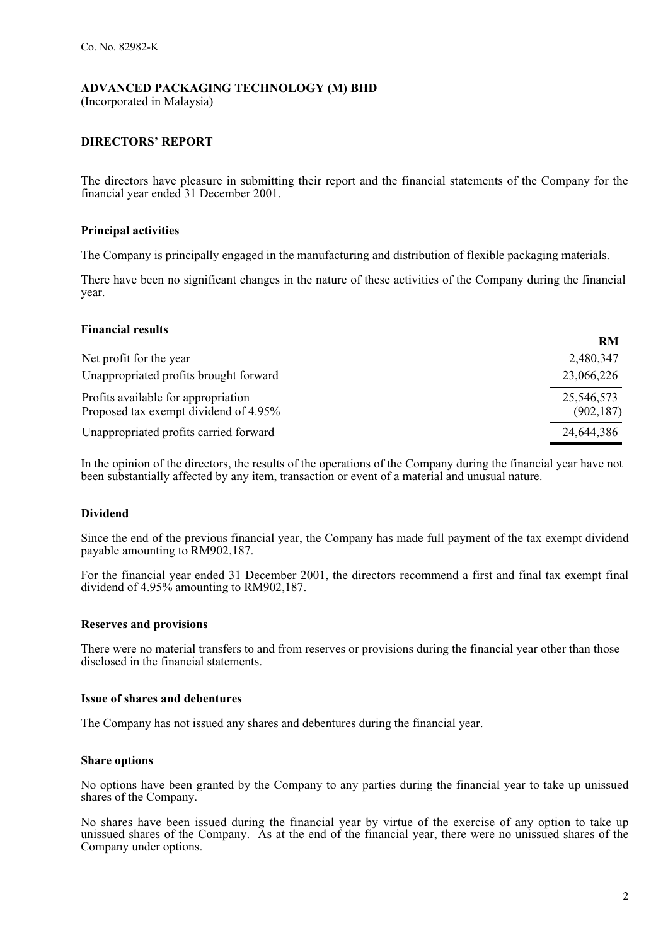(Incorporated in Malaysia)

## **DIRECTORS' REPORT**

The directors have pleasure in submitting their report and the financial statements of the Company for the financial year ended 31 December 2001.

### **Principal activities**

The Company is principally engaged in the manufacturing and distribution of flexible packaging materials.

There have been no significant changes in the nature of these activities of the Company during the financial year.

#### **Financial results**

|                                                                              | <b>RM</b>                |
|------------------------------------------------------------------------------|--------------------------|
| Net profit for the year                                                      | 2,480,347                |
| Unappropriated profits brought forward                                       | 23,066,226               |
| Profits available for appropriation<br>Proposed tax exempt dividend of 4.95% | 25,546,573<br>(902, 187) |
| Unappropriated profits carried forward                                       | 24,644,386               |

In the opinion of the directors, the results of the operations of the Company during the financial year have not been substantially affected by any item, transaction or event of a material and unusual nature.

## **Dividend**

Since the end of the previous financial year, the Company has made full payment of the tax exempt dividend payable amounting to RM902,187.

For the financial year ended 31 December 2001, the directors recommend a first and final tax exempt final dividend of 4.95% amounting to RM902,187.

#### **Reserves and provisions**

There were no material transfers to and from reserves or provisions during the financial year other than those disclosed in the financial statements.

#### **Issue of shares and debentures**

The Company has not issued any shares and debentures during the financial year.

#### **Share options**

No options have been granted by the Company to any parties during the financial year to take up unissued shares of the Company.

No shares have been issued during the financial year by virtue of the exercise of any option to take up unissued shares of the Company. As at the end of the financial year, there were no unissued shares of the Company under options.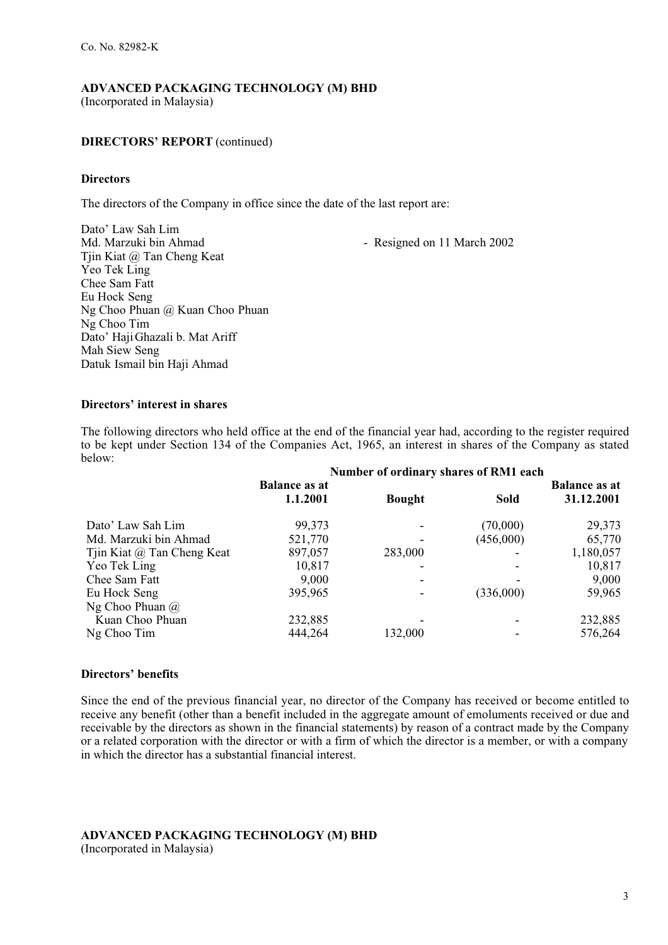#### **DIRECTORS' REPORT** (continued)

#### **Directors**

The directors of the Company in office since the date of the last report are:

Dato' Law Sah Lim - Resigned on 11 March 2002 Tjin Kiat @ Tan Cheng Keat Yeo Tek Ling Chee Sam Fatt Eu Hock Seng Ng Choo Phuan @ Kuan Choo Phuan Ng Choo Tim Dato' Haji Ghazali b. Mat Ariff Mah Siew Seng Datuk Ismail bin Haji Ahmad

#### **Directors' interest in shares**

The following directors who held office at the end of the financial year had, according to the register required to be kept under Section 134 of the Companies Act, 1965, an interest in shares of the Company as stated below:

|                            | Number of ordinary shares of RM1 each |               |             |                      |
|----------------------------|---------------------------------------|---------------|-------------|----------------------|
|                            | <b>Balance as at</b>                  |               |             | <b>Balance as at</b> |
|                            | 1.1.2001                              | <b>Bought</b> | <b>Sold</b> | 31.12.2001           |
| Dato' Law Sah Lim          | 99,373                                |               | (70,000)    | 29,373               |
| Md. Marzuki bin Ahmad      | 521,770                               |               | (456,000)   | 65,770               |
| Tjin Kiat @ Tan Cheng Keat | 897,057                               | 283,000       |             | 1,180,057            |
| Yeo Tek Ling               | 10,817                                |               |             | 10,817               |
| Chee Sam Fatt              | 9,000                                 |               |             | 9,000                |
| Eu Hock Seng               | 395,965                               |               | (336,000)   | 59,965               |
| Ng Choo Phuan $\omega$     |                                       |               |             |                      |
| Kuan Choo Phuan            | 232,885                               |               |             | 232,885              |
| Ng Choo Tim                | 444,264                               | 132,000       |             | 576,264              |

#### **Directors' benefits**

Since the end of the previous financial year, no director of the Company has received or become entitled to receive any benefit (other than a benefit included in the aggregate amount of emoluments received or due and receivable by the directors as shown in the financial statements) by reason of a contract made by the Company or a related corporation with the director or with a firm of which the director is a member, or with a company in which the director has a substantial financial interest.

# **ADVANCED PACKAGING TECHNOLOGY (M) BHD**

(Incorporated in Malaysia)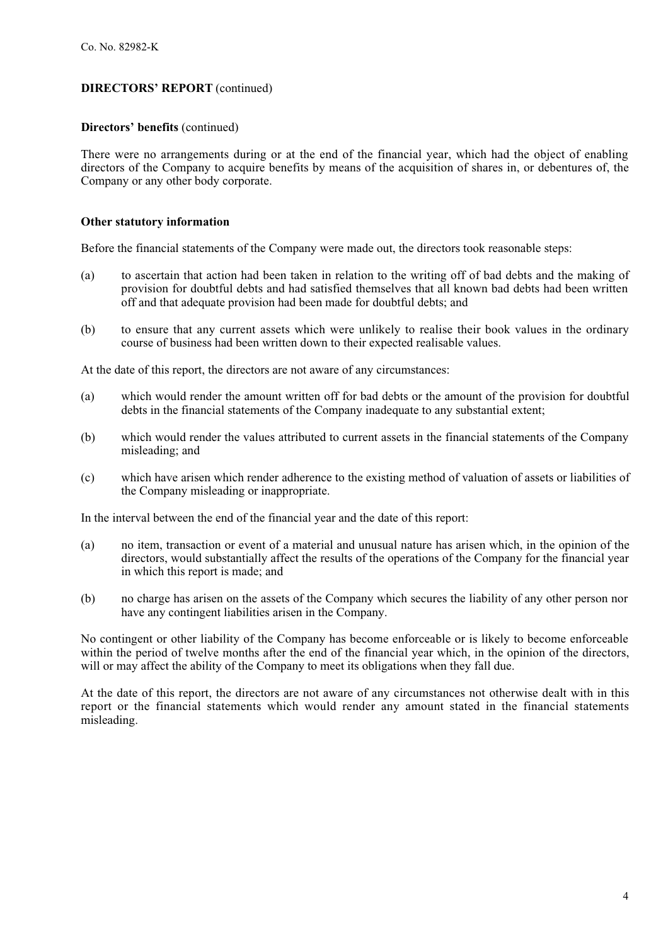#### **DIRECTORS' REPORT** (continued)

#### **Directors' benefits** (continued)

There were no arrangements during or at the end of the financial year, which had the object of enabling directors of the Company to acquire benefits by means of the acquisition of shares in, or debentures of, the Company or any other body corporate.

#### **Other statutory information**

Before the financial statements of the Company were made out, the directors took reasonable steps:

- (a) to ascertain that action had been taken in relation to the writing off of bad debts and the making of provision for doubtful debts and had satisfied themselves that all known bad debts had been written off and that adequate provision had been made for doubtful debts; and
- (b) to ensure that any current assets which were unlikely to realise their book values in the ordinary course of business had been written down to their expected realisable values.

At the date of this report, the directors are not aware of any circumstances:

- (a) which would render the amount written off for bad debts or the amount of the provision for doubtful debts in the financial statements of the Company inadequate to any substantial extent;
- (b) which would render the values attributed to current assets in the financial statements of the Company misleading; and
- (c) which have arisen which render adherence to the existing method of valuation of assets or liabilities of the Company misleading or inappropriate.

In the interval between the end of the financial year and the date of this report:

- (a) no item, transaction or event of a material and unusual nature has arisen which, in the opinion of the directors, would substantially affect the results of the operations of the Company for the financial year in which this report is made; and
- (b) no charge has arisen on the assets of the Company which secures the liability of any other person nor have any contingent liabilities arisen in the Company.

No contingent or other liability of the Company has become enforceable or is likely to become enforceable within the period of twelve months after the end of the financial year which, in the opinion of the directors, will or may affect the ability of the Company to meet its obligations when they fall due.

At the date of this report, the directors are not aware of any circumstances not otherwise dealt with in this report or the financial statements which would render any amount stated in the financial statements misleading.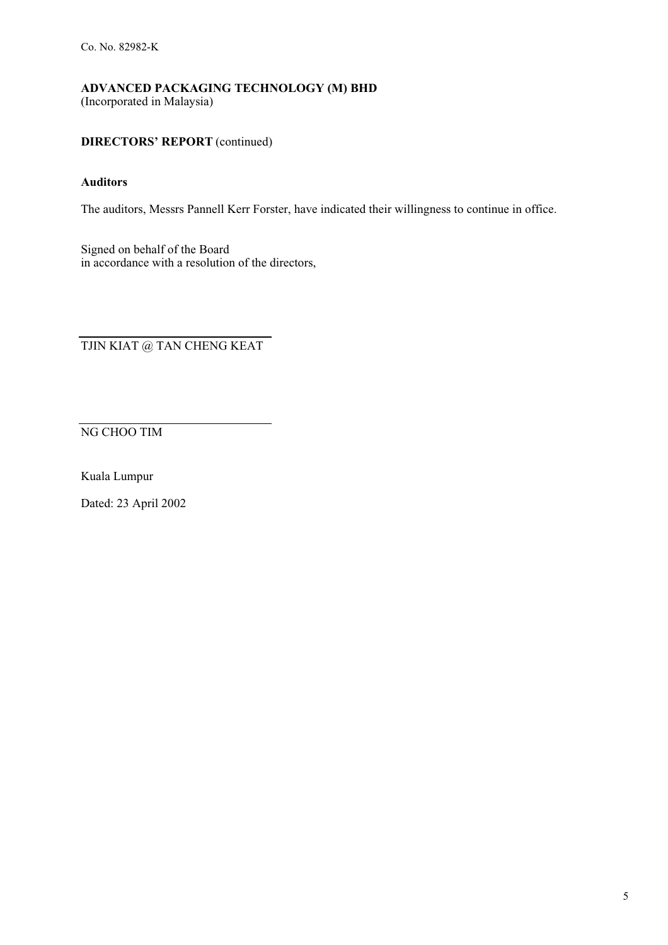## **DIRECTORS' REPORT** (continued)

### **Auditors**

The auditors, Messrs Pannell Kerr Forster, have indicated their willingness to continue in office.

Signed on behalf of the Board in accordance with a resolution of the directors,

TJIN KIAT @ TAN CHENG KEAT

NG CHOO TIM

Kuala Lumpur

Dated: 23 April 2002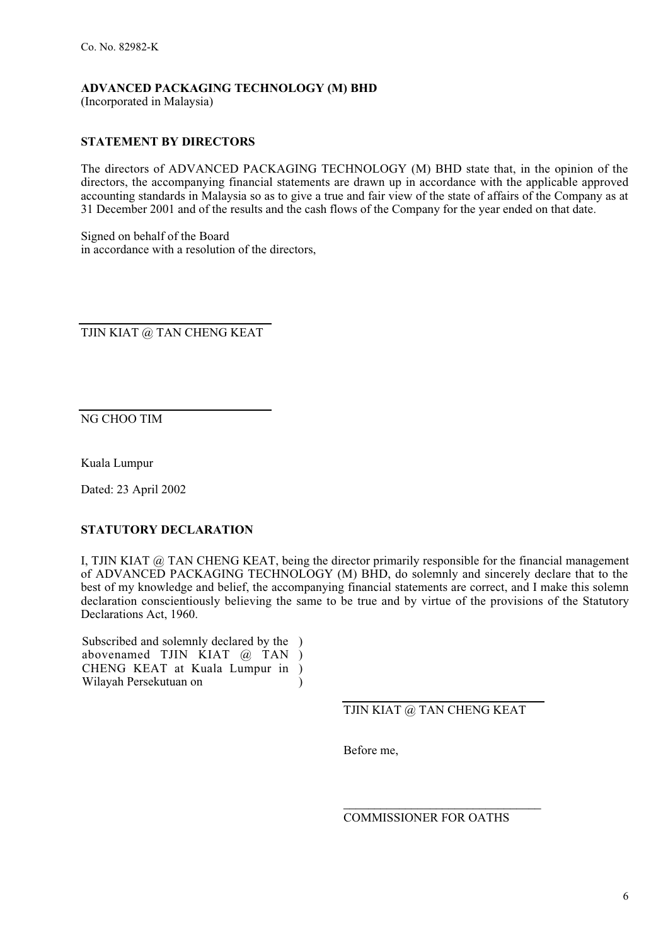(Incorporated in Malaysia)

## **STATEMENT BY DIRECTORS**

The directors of ADVANCED PACKAGING TECHNOLOGY (M) BHD state that, in the opinion of the directors, the accompanying financial statements are drawn up in accordance with the applicable approved accounting standards in Malaysia so as to give a true and fair view of the state of affairs of the Company as at 31 December 2001 and of the results and the cash flows of the Company for the year ended on that date.

Signed on behalf of the Board in accordance with a resolution of the directors,

TJIN KIAT @ TAN CHENG KEAT

NG CHOO TIM

Kuala Lumpur

Dated: 23 April 2002

#### **STATUTORY DECLARATION**

I, TJIN KIAT @ TAN CHENG KEAT, being the director primarily responsible for the financial management of ADVANCED PACKAGING TECHNOLOGY (M) BHD, do solemnly and sincerely declare that to the best of my knowledge and belief, the accompanying financial statements are correct, and I make this solemn declaration conscientiously believing the same to be true and by virtue of the provisions of the Statutory Declarations Act, 1960.

Subscribed and solemnly declared by the ) abovenamed TJIN KIAT @ TAN CHENG KEAT at Kuala Lumpur in ) Wilayah Persekutuan on ) )

TJIN KIAT @ TAN CHENG KEAT

Before me,

\_\_\_\_\_\_\_\_\_\_\_\_\_\_\_\_\_\_\_\_\_\_\_\_\_\_\_\_\_\_\_\_ COMMISSIONER FOR OATHS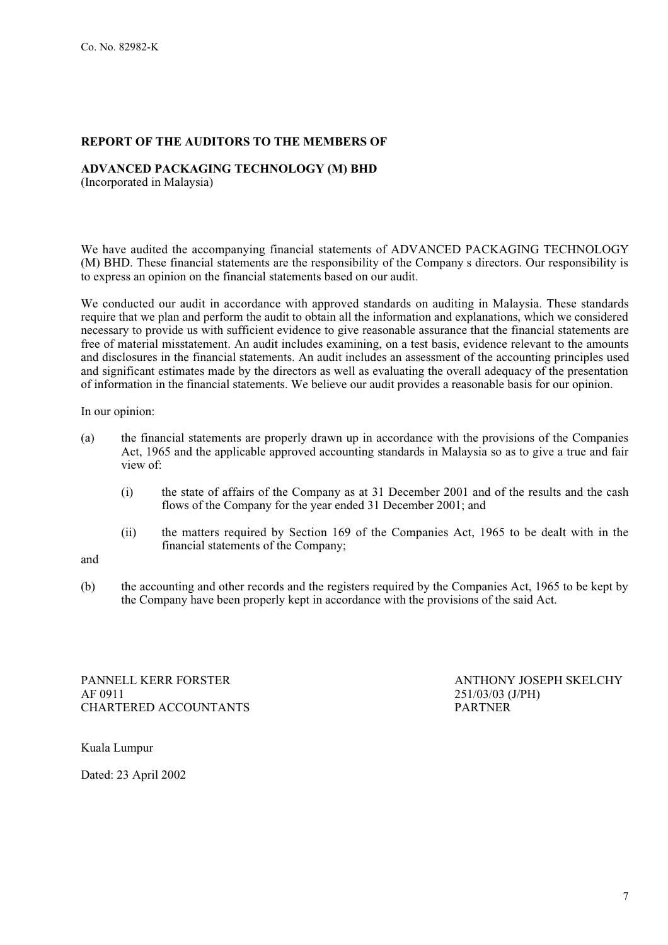## **REPORT OF THE AUDITORS TO THE MEMBERS OF**

## **ADVANCED PACKAGING TECHNOLOGY (M) BHD**

(Incorporated in Malaysia)

We have audited the accompanying financial statements of ADVANCED PACKAGING TECHNOLOGY (M) BHD. These financial statements are the responsibility of the Company s directors. Our responsibility is to express an opinion on the financial statements based on our audit.

We conducted our audit in accordance with approved standards on auditing in Malaysia. These standards require that we plan and perform the audit to obtain all the information and explanations, which we considered necessary to provide us with sufficient evidence to give reasonable assurance that the financial statements are free of material misstatement. An audit includes examining, on a test basis, evidence relevant to the amounts and disclosures in the financial statements. An audit includes an assessment of the accounting principles used and significant estimates made by the directors as well as evaluating the overall adequacy of the presentation of information in the financial statements. We believe our audit provides a reasonable basis for our opinion.

In our opinion:

- (a) the financial statements are properly drawn up in accordance with the provisions of the Companies Act, 1965 and the applicable approved accounting standards in Malaysia so as to give a true and fair view of:
	- (i) the state of affairs of the Company as at 31 December 2001 and of the results and the cash flows of the Company for the year ended 31 December 2001; and
	- (ii) the matters required by Section 169 of the Companies Act, 1965 to be dealt with in the financial statements of the Company;

and

(b) the accounting and other records and the registers required by the Companies Act, 1965 to be kept by the Company have been properly kept in accordance with the provisions of the said Act.

PANNELL KERR FORSTER ANTHONY JOSEPH SKELCHY AF 0911 251/03/03 (J/PH) CHARTERED ACCOUNTANTS PARTNER

Kuala Lumpur

Dated: 23 April 2002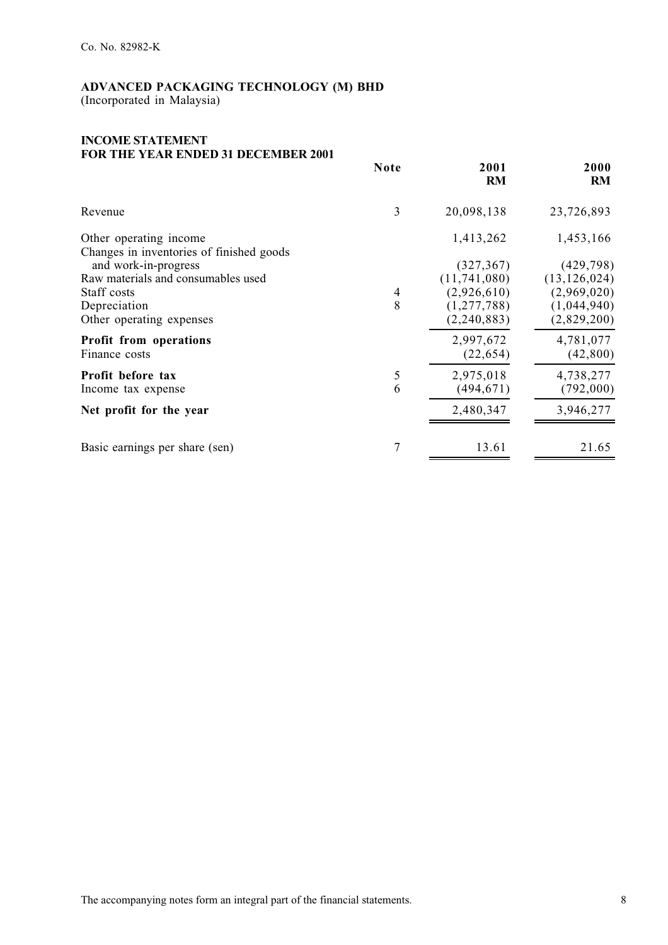(Incorporated in Malaysia)

#### **INCOME STATEMENT FOR THE YEAR ENDED 31 DECEMBER 2001**

|                                                                           | <b>Note</b>    | 2001<br>RM                                | 2000<br><b>RM</b>                           |
|---------------------------------------------------------------------------|----------------|-------------------------------------------|---------------------------------------------|
| Revenue                                                                   | 3              | 20,098,138                                | 23,726,893                                  |
| Other operating income<br>Changes in inventories of finished goods        |                | 1,413,262                                 | 1,453,166                                   |
| and work-in-progress<br>Raw materials and consumables used<br>Staff costs | $\overline{4}$ | (327, 367)<br>(11,741,080)<br>(2,926,610) | (429, 798)<br>(13, 126, 024)<br>(2,969,020) |
| Depreciation<br>Other operating expenses                                  | 8              | (1, 277, 788)<br>(2, 240, 883)            | (1,044,940)<br>(2,829,200)                  |
| Profit from operations<br>Finance costs                                   |                | 2,997,672<br>(22, 654)                    | 4,781,077<br>(42, 800)                      |
| Profit before tax<br>Income tax expense                                   | 5<br>6         | 2,975,018<br>(494, 671)                   | 4,738,277<br>(792,000)                      |
| Net profit for the year                                                   |                | 2,480,347                                 | 3,946,277                                   |
| Basic earnings per share (sen)                                            | 7              | 13.61                                     | 21.65                                       |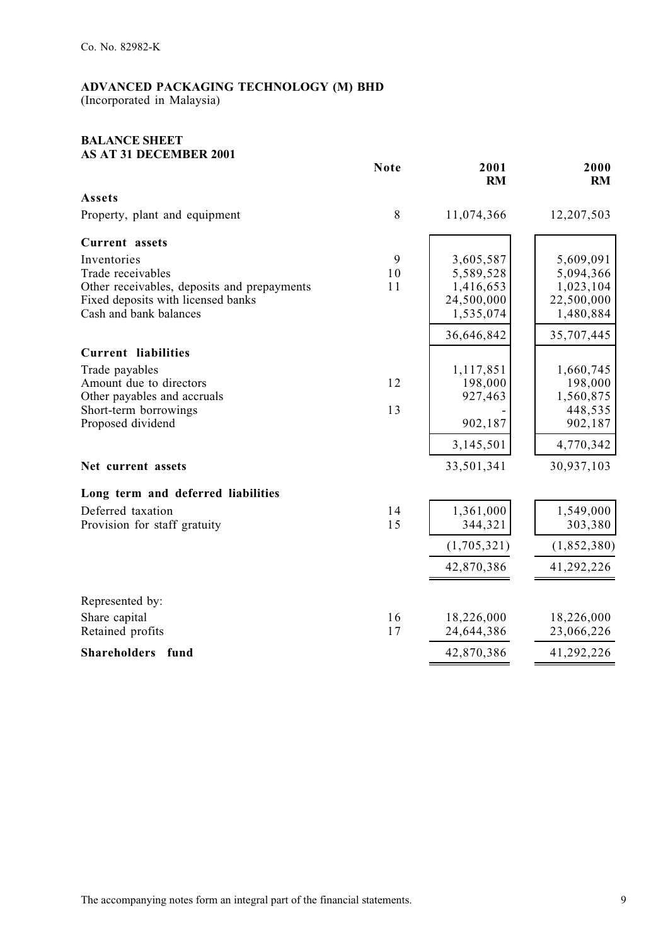(Incorporated in Malaysia)

#### **BALANCE SHEET AS AT 31 DECEMBER 2001**

|                                                              | <b>Note</b> | 2001<br><b>RM</b>       | 2000<br>RM              |
|--------------------------------------------------------------|-------------|-------------------------|-------------------------|
| Assets                                                       |             |                         |                         |
| Property, plant and equipment                                | 8           | 11,074,366              | 12,207,503              |
| Current assets                                               |             |                         |                         |
| Inventories                                                  | 9           | 3,605,587               | 5,609,091               |
| Trade receivables                                            | 10          | 5,589,528               | 5,094,366               |
| Other receivables, deposits and prepayments                  | 11          | 1,416,653               | 1,023,104               |
| Fixed deposits with licensed banks<br>Cash and bank balances |             | 24,500,000<br>1,535,074 | 22,500,000<br>1,480,884 |
|                                                              |             |                         |                         |
|                                                              |             | 36,646,842              | 35,707,445              |
| <b>Current liabilities</b>                                   |             |                         |                         |
| Trade payables                                               |             | 1,117,851               | 1,660,745               |
| Amount due to directors                                      | 12          | 198,000                 | 198,000                 |
| Other payables and accruals<br>Short-term borrowings         | 13          | 927,463                 | 1,560,875<br>448,535    |
| Proposed dividend                                            |             | 902,187                 | 902,187                 |
|                                                              |             | 3,145,501               | 4,770,342               |
|                                                              |             |                         |                         |
| Net current assets                                           |             | 33,501,341              | 30,937,103              |
| Long term and deferred liabilities                           |             |                         |                         |
| Deferred taxation                                            | 14          | 1,361,000               | 1,549,000               |
| Provision for staff gratuity                                 | 15          | 344,321                 | 303,380                 |
|                                                              |             | (1,705,321)             | (1,852,380)             |
|                                                              |             | 42,870,386              | 41,292,226              |
| Represented by:                                              |             |                         |                         |
| Share capital                                                | 16          | 18,226,000              | 18,226,000              |
| Retained profits                                             | 17          | 24,644,386              | 23,066,226              |
| Shareholders fund                                            |             | 42,870,386              | 41,292,226              |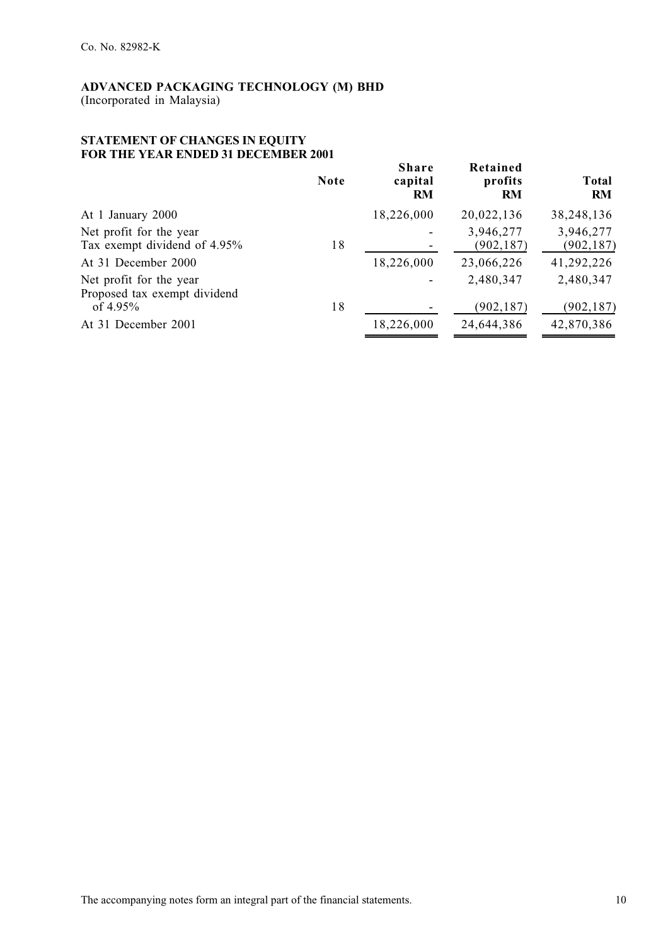#### **STATEMENT OF CHANGES IN EQUITY FOR THE YEAR ENDED 31 DECEMBER 2001**

|                                                         | <b>Note</b> | <b>Share</b><br>capital<br><b>RM</b> | Retained<br>profits<br><b>RM</b> | <b>Total</b><br><b>RM</b> |
|---------------------------------------------------------|-------------|--------------------------------------|----------------------------------|---------------------------|
| At 1 January 2000                                       |             | 18,226,000                           | 20,022,136                       | 38,248,136                |
| Net profit for the year<br>Tax exempt dividend of 4.95% | 18          |                                      | 3,946,277<br>(902, 187)          | 3,946,277<br>(902, 187)   |
| At 31 December 2000                                     |             | 18,226,000                           | 23,066,226                       | 41,292,226                |
| Net profit for the year<br>Proposed tax exempt dividend |             |                                      | 2,480,347                        | 2,480,347                 |
| of $4.95\%$                                             | 18          |                                      | (902, 187)                       | (902, 187)                |
| At 31 December 2001                                     |             | 18,226,000                           | 24,644,386                       | 42,870,386                |
|                                                         |             |                                      |                                  |                           |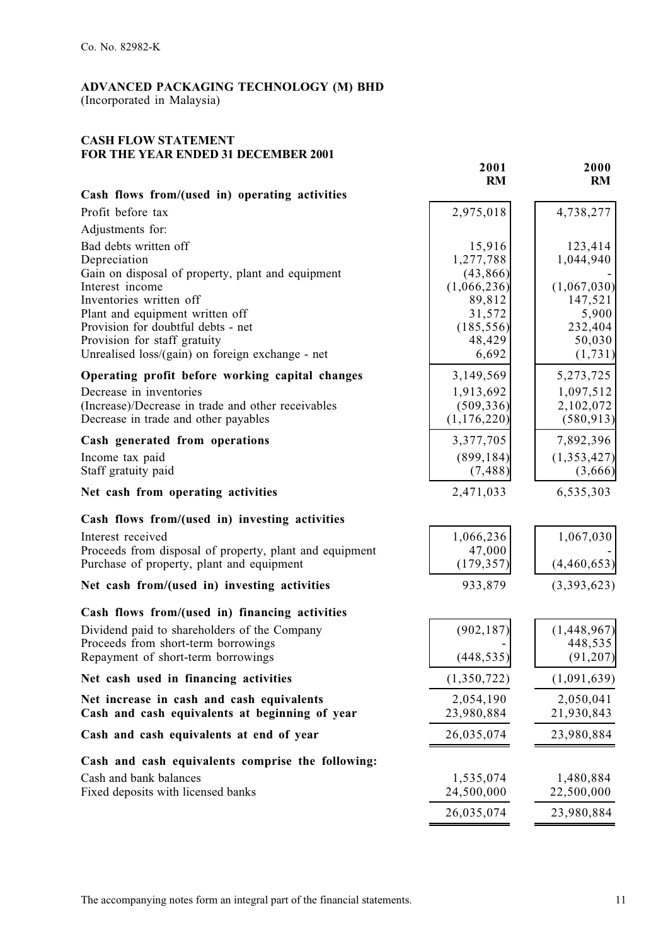## **CASH FLOW STATEMENT FOR THE YEAR ENDED 31 DECEMBER 2001**

|                                                                                                      | 2001<br><b>RM</b>         | 2000<br>RM              |
|------------------------------------------------------------------------------------------------------|---------------------------|-------------------------|
| Cash flows from/(used in) operating activities                                                       |                           |                         |
| Profit before tax                                                                                    | 2,975,018                 | 4,738,277               |
| Adjustments for:                                                                                     |                           |                         |
| Bad debts written off<br>Depreciation                                                                | 15,916<br>1,277,788       | 123,414<br>1,044,940    |
| Gain on disposal of property, plant and equipment                                                    | (43, 866)                 |                         |
| Interest income<br>Inventories written off                                                           | (1,066,236)               | (1,067,030)             |
| Plant and equipment written off                                                                      | 89,812<br>31,572          | 147,521<br>5,900        |
| Provision for doubtful debts - net                                                                   | (185, 556)                | 232,404                 |
| Provision for staff gratuity                                                                         | 48,429                    | 50,030                  |
| Unrealised loss/(gain) on foreign exchange - net                                                     | 6,692                     | (1, 731)                |
| Operating profit before working capital changes                                                      | 3,149,569                 | 5,273,725               |
| Decrease in inventories                                                                              | 1,913,692                 | 1,097,512               |
| (Increase)/Decrease in trade and other receivables<br>Decrease in trade and other payables           | (509, 336)<br>(1,176,220) | 2,102,072<br>(580, 913) |
|                                                                                                      |                           |                         |
| Cash generated from operations                                                                       | 3,377,705                 | 7,892,396               |
| Income tax paid<br>Staff gratuity paid                                                               | (899, 184)<br>(7, 488)    | (1,353,427)<br>(3,666)  |
| Net cash from operating activities                                                                   | 2,471,033                 | 6,535,303               |
| Cash flows from/(used in) investing activities                                                       |                           |                         |
| Interest received                                                                                    | 1,066,236                 | 1,067,030               |
| Proceeds from disposal of property, plant and equipment<br>Purchase of property, plant and equipment | 47,000<br>(179, 357)      | (4,460,653)             |
| Net cash from/(used in) investing activities                                                         | 933,879                   | (3,393,623)             |
| Cash flows from/(used in) financing activities                                                       |                           |                         |
| Dividend paid to shareholders of the Company                                                         | (902, 187)                | (1,448,967)             |
| Proceeds from short-term borrowings                                                                  |                           | 448,535                 |
| Repayment of short-term borrowings                                                                   | (448, 535)                | (91, 207)               |
| Net cash used in financing activities                                                                | (1,350,722)               | (1,091,639)             |
| Net increase in cash and cash equivalents<br>Cash and cash equivalents at beginning of year          | 2,054,190<br>23,980,884   | 2,050,041<br>21,930,843 |
| Cash and cash equivalents at end of year                                                             | 26,035,074                | 23,980,884              |
|                                                                                                      |                           |                         |
| Cash and cash equivalents comprise the following:                                                    |                           |                         |
| Cash and bank balances<br>Fixed deposits with licensed banks                                         | 1,535,074<br>24,500,000   | 1,480,884<br>22,500,000 |
|                                                                                                      |                           |                         |
|                                                                                                      | 26,035,074                | 23,980,884              |

 $\blacksquare$ 

÷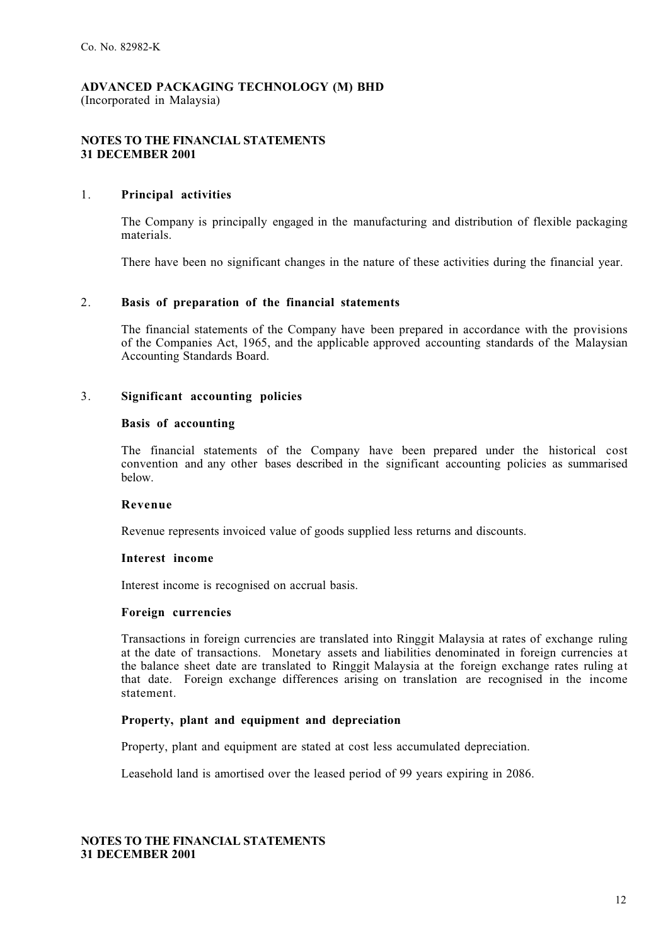#### **NOTES TO THE FINANCIAL STATEMENTS 31 DECEMBER 2001**

#### 1. **Principal activities**

The Company is principally engaged in the manufacturing and distribution of flexible packaging materials.

There have been no significant changes in the nature of these activities during the financial year.

## 2. **Basis of preparation of the financial statements**

The financial statements of the Company have been prepared in accordance with the provisions of the Companies Act, 1965, and the applicable approved accounting standards of the Malaysian Accounting Standards Board.

#### 3. **Significant accounting policies**

#### **Basis of accounting**

The financial statements of the Company have been prepared under the historical cost convention and any other bases described in the significant accounting policies as summarised below.

#### **Revenue**

Revenue represents invoiced value of goods supplied less returns and discounts.

#### **Interest income**

Interest income is recognised on accrual basis.

## **Foreign currencies**

Transactions in foreign currencies are translated into Ringgit Malaysia at rates of exchange ruling at the date of transactions. Monetary assets and liabilities denominated in foreign currencies at the balance sheet date are translated to Ringgit Malaysia at the foreign exchange rates ruling at that date. Foreign exchange differences arising on translation are recognised in the income statement.

#### **Property, plant and equipment and depreciation**

Property, plant and equipment are stated at cost less accumulated depreciation.

Leasehold land is amortised over the leased period of 99 years expiring in 2086.

#### **NOTES TO THE FINANCIAL STATEMENTS 31 DECEMBER 2001**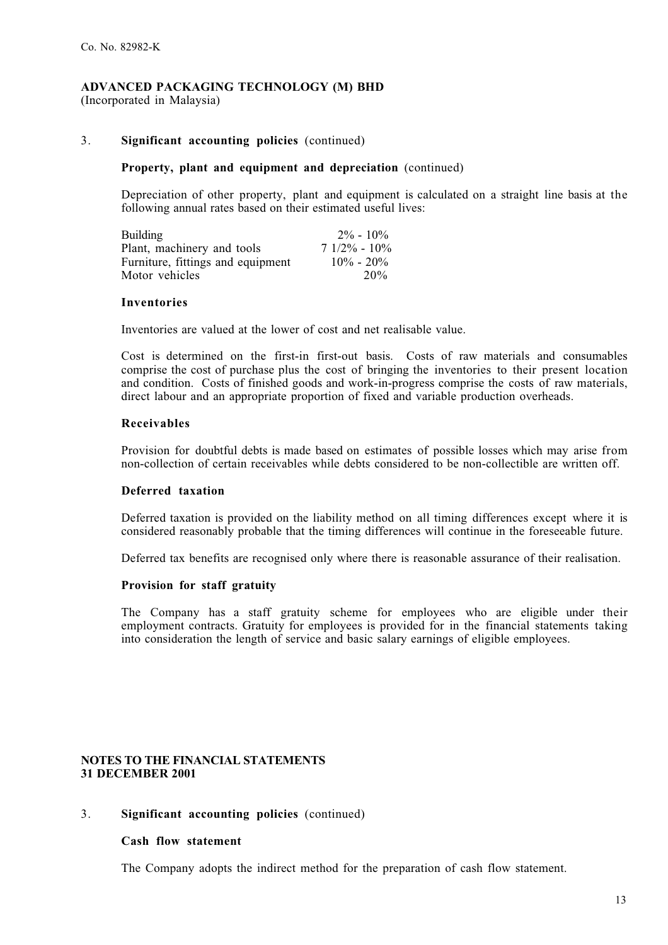#### 3. **Significant accounting policies** (continued)

#### **Property, plant and equipment and depreciation** (continued)

Depreciation of other property, plant and equipment is calculated on a straight line basis at the following annual rates based on their estimated useful lives:

| <b>Building</b>                   | $2\% - 10\%$    |
|-----------------------------------|-----------------|
| Plant, machinery and tools        | $71/2\% - 10\%$ |
| Furniture, fittings and equipment | $10\% - 20\%$   |
| Motor vehicles                    | 20%             |

#### **Inventories**

Inventories are valued at the lower of cost and net realisable value.

Cost is determined on the first-in first-out basis. Costs of raw materials and consumables comprise the cost of purchase plus the cost of bringing the inventories to their present location and condition. Costs of finished goods and work-in-progress comprise the costs of raw materials, direct labour and an appropriate proportion of fixed and variable production overheads.

#### **Receivables**

Provision for doubtful debts is made based on estimates of possible losses which may arise from non-collection of certain receivables while debts considered to be non-collectible are written off.

#### **Deferred taxation**

Deferred taxation is provided on the liability method on all timing differences except where it is considered reasonably probable that the timing differences will continue in the foreseeable future.

Deferred tax benefits are recognised only where there is reasonable assurance of their realisation.

#### **Provision for staff gratuity**

The Company has a staff gratuity scheme for employees who are eligible under their employment contracts. Gratuity for employees is provided for in the financial statements taking into consideration the length of service and basic salary earnings of eligible employees.

#### **NOTES TO THE FINANCIAL STATEMENTS 31 DECEMBER 2001**

#### 3. **Significant accounting policies** (continued)

#### **Cash flow statement**

The Company adopts the indirect method for the preparation of cash flow statement.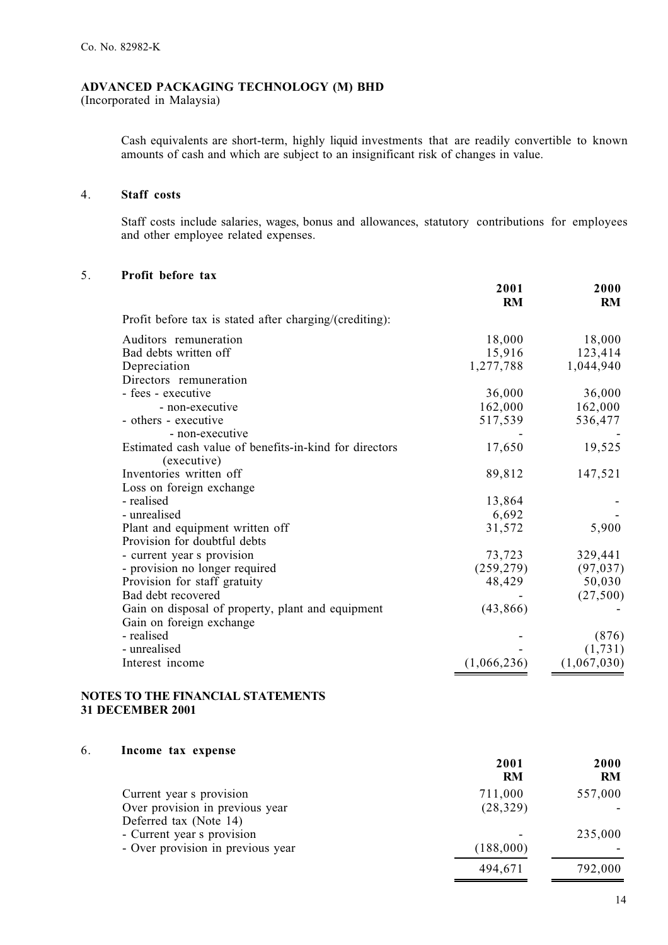(Incorporated in Malaysia)

Cash equivalents are short-term, highly liquid investments that are readily convertible to known amounts of cash and which are subject to an insignificant risk of changes in value.

## 4. **Staff costs**

Staff costs include salaries, wages, bonus and allowances, statutory contributions for employees and other employee related expenses.

### 5. **Profit before tax**

|                                                         | 2001<br><b>RM</b> | 2000<br><b>RM</b> |
|---------------------------------------------------------|-------------------|-------------------|
| Profit before tax is stated after charging/(crediting): |                   |                   |
|                                                         |                   |                   |
| Auditors remuneration                                   | 18,000            | 18,000            |
| Bad debts written off                                   | 15,916            | 123,414           |
| Depreciation                                            | 1,277,788         | 1,044,940         |
| Directors remuneration                                  |                   |                   |
| - fees - executive                                      | 36,000            | 36,000            |
| - non-executive                                         | 162,000           | 162,000           |
| - others - executive                                    | 517,539           | 536,477           |
| - non-executive                                         |                   |                   |
| Estimated cash value of benefits-in-kind for directors  | 17,650            | 19,525            |
| (executive)                                             |                   |                   |
| Inventories written off                                 | 89,812            | 147,521           |
| Loss on foreign exchange                                |                   |                   |
| - realised                                              | 13,864            |                   |
| - unrealised                                            | 6,692             |                   |
| Plant and equipment written off                         | 31,572            | 5,900             |
| Provision for doubtful debts                            |                   |                   |
| - current year s provision                              | 73,723            | 329,441           |
| - provision no longer required                          | (259, 279)        | (97, 037)         |
| Provision for staff gratuity                            | 48,429            | 50,030            |
| Bad debt recovered                                      |                   | (27,500)          |
| Gain on disposal of property, plant and equipment       | (43, 866)         |                   |
| Gain on foreign exchange                                |                   |                   |
| - realised                                              |                   | (876)             |
| - unrealised                                            |                   |                   |
|                                                         |                   | (1,731)           |
| Interest income                                         | (1,066,236)       | (1,067,030)       |

#### **NOTES TO THE FINANCIAL STATEMENTS 31 DECEMBER 2001**

| 6. | Income tax expense                |           |           |
|----|-----------------------------------|-----------|-----------|
|    |                                   | 2001      | 2000      |
|    |                                   | <b>RM</b> | <b>RM</b> |
|    | Current year s provision          | 711,000   | 557,000   |
|    | Over provision in previous year   | (28, 329) |           |
|    | Deferred tax (Note 14)            |           |           |
|    | - Current year s provision        |           | 235,000   |
|    | - Over provision in previous year | (188,000) |           |
|    |                                   | 494,671   | 792,000   |
|    |                                   |           |           |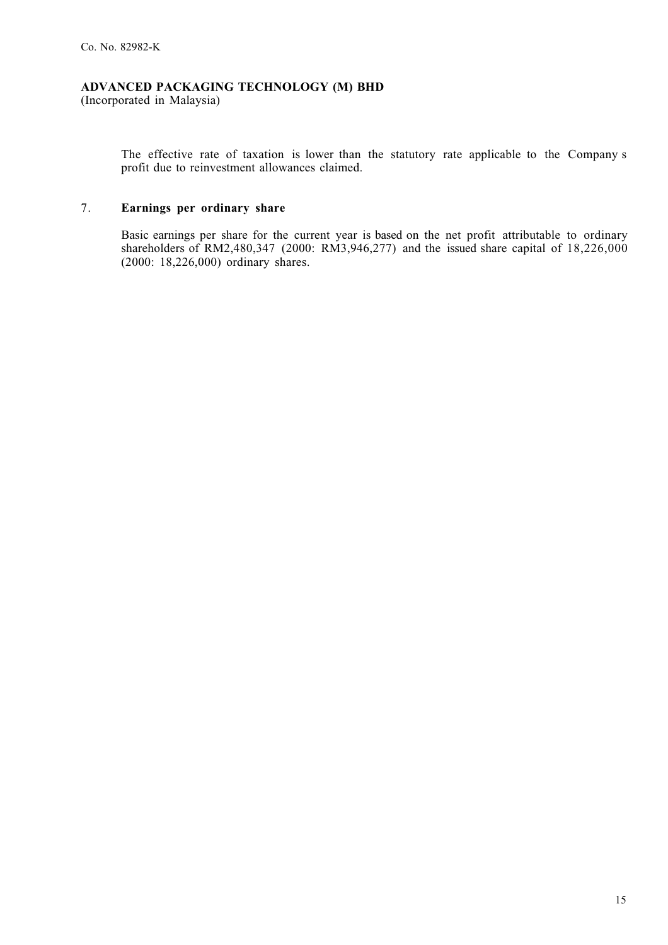(Incorporated in Malaysia)

The effective rate of taxation is lower than the statutory rate applicable to the Company s profit due to reinvestment allowances claimed.

## 7. **Earnings per ordinary share**

Basic earnings per share for the current year is based on the net profit attributable to ordinary shareholders of RM2,480,347 (2000: RM3,946,277) and the issued share capital of 18,226,000 (2000: 18,226,000) ordinary shares.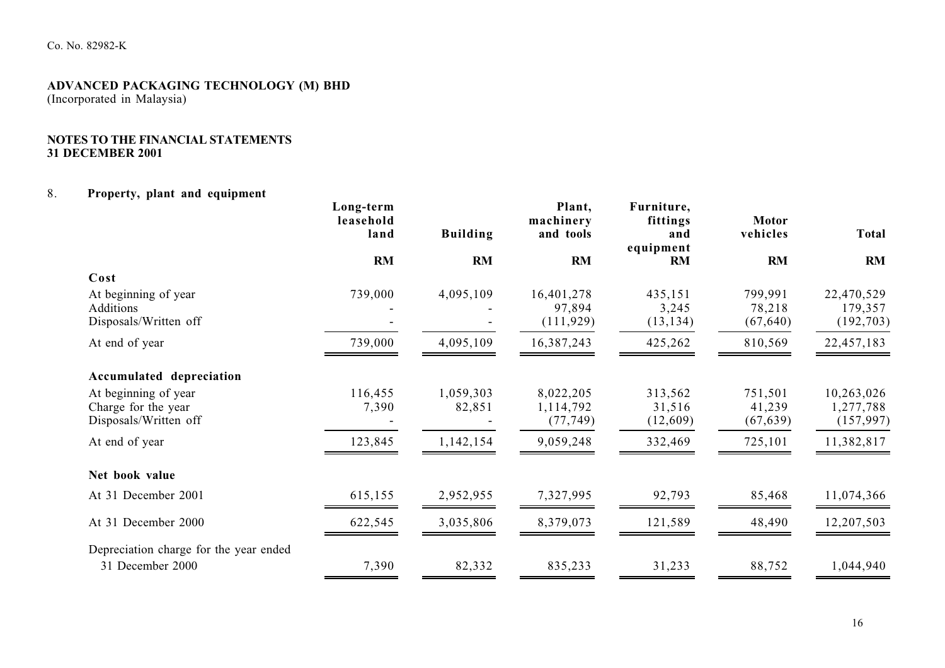#### **NOTES TO THE FINANCIAL STATEMENTS 31 DECEMBER 2001**

#### 8.**Property, plant and equipment**

|                                                                      | Long-term<br>leasehold<br>land | <b>Building</b>     | Plant,<br>machinery<br>and tools    | Furniture,<br>fittings<br>and<br>equipment | <b>Motor</b><br>vehicles       | <b>Total</b>                          |
|----------------------------------------------------------------------|--------------------------------|---------------------|-------------------------------------|--------------------------------------------|--------------------------------|---------------------------------------|
|                                                                      | RM                             | RM                  | RM                                  | RM                                         | RM                             | RM                                    |
| Cost                                                                 |                                |                     |                                     |                                            |                                |                                       |
| At beginning of year<br>Additions<br>Disposals/Written off           | 739,000                        | 4,095,109           | 16,401,278<br>97,894<br>(111, 929)  | 435,151<br>3,245<br>(13, 134)              | 799,991<br>78,218<br>(67, 640) | 22,470,529<br>179,357<br>(192, 703)   |
| At end of year                                                       | 739,000                        | 4,095,109           | 16,387,243                          | 425,262                                    | 810,569                        | 22,457,183                            |
| Accumulated depreciation                                             |                                |                     |                                     |                                            |                                |                                       |
| At beginning of year<br>Charge for the year<br>Disposals/Written off | 116,455<br>7,390               | 1,059,303<br>82,851 | 8,022,205<br>1,114,792<br>(77, 749) | 313,562<br>31,516<br>(12,609)              | 751,501<br>41,239<br>(67, 639) | 10,263,026<br>1,277,788<br>(157, 997) |
| At end of year                                                       | 123,845                        | 1,142,154           | 9,059,248                           | 332,469                                    | 725,101                        | 11,382,817                            |
| Net book value                                                       |                                |                     |                                     |                                            |                                |                                       |
| At 31 December 2001                                                  | 615,155                        | 2,952,955           | 7,327,995                           | 92,793                                     | 85,468                         | 11,074,366                            |
| At 31 December 2000                                                  | 622,545                        | 3,035,806           | 8,379,073                           | 121,589                                    | 48,490                         | 12,207,503                            |
| Depreciation charge for the year ended                               |                                |                     |                                     |                                            |                                |                                       |
| 31 December 2000                                                     | 7,390                          | 82,332              | 835,233                             | 31,233                                     | 88,752                         | 1,044,940                             |
|                                                                      |                                |                     |                                     |                                            |                                |                                       |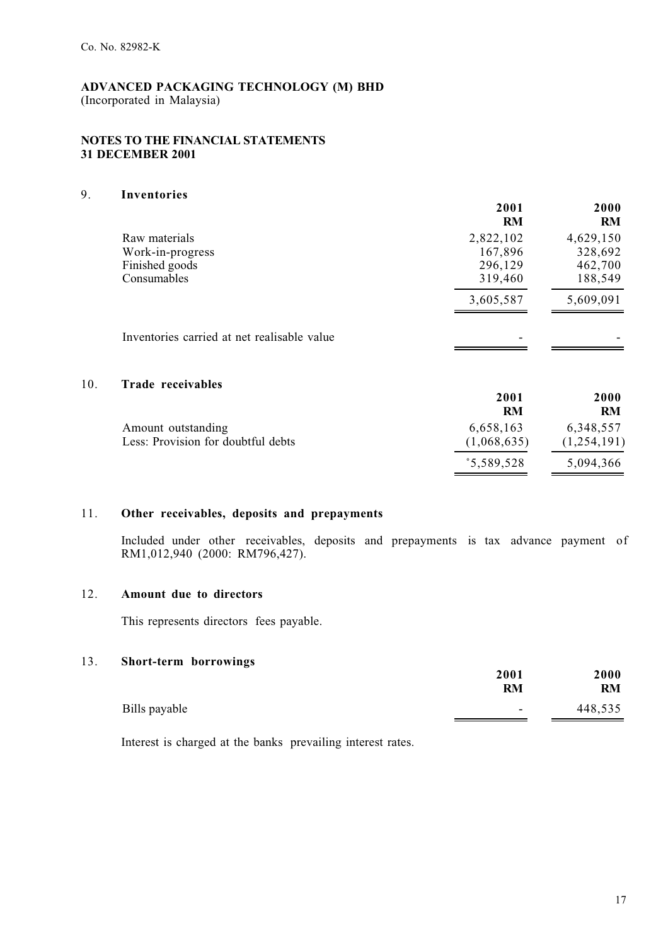### **NOTES TO THE FINANCIAL STATEMENTS 31 DECEMBER 2001**

## 9. **Inventories**

 $10.$ 

|                                             | 2001<br><b>RM</b> | 2000<br>RM    |
|---------------------------------------------|-------------------|---------------|
| Raw materials                               | 2,822,102         | 4,629,150     |
| Work-in-progress                            | 167,896           | 328,692       |
| Finished goods                              | 296,129           | 462,700       |
| Consumables                                 | 319,460           | 188,549       |
|                                             | 3,605,587         | 5,609,091     |
| Inventories carried at net realisable value |                   |               |
| Trade receivables                           |                   |               |
|                                             | 2001              | 2000          |
|                                             | <b>RM</b>         | <b>RM</b>     |
| Amount outstanding                          | 6,658,163         | 6,348,557     |
| Less: Provision for doubtful debts          | (1,068,635)       | (1, 254, 191) |
|                                             | 3,589,528         | 5,094,366     |

## 11. **Other receivables, deposits and prepayments**

Included under other receivables, deposits and prepayments is tax advance payment of RM1,012,940 (2000: RM796,427).

## 12. **Amount due to directors**

This represents directors fees payable.

## 13. **Short-term borrowings**

|               | 2001<br><b>RM</b>        | 2000<br>RM |
|---------------|--------------------------|------------|
| Bills payable | $\overline{\phantom{a}}$ | 448,535    |

Interest is charged at the banks prevailing interest rates.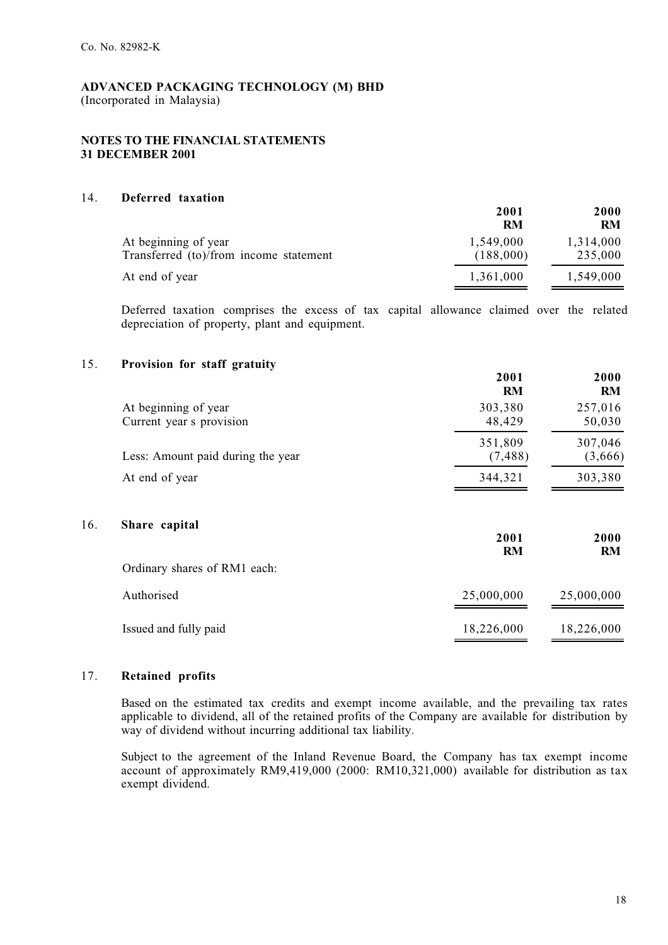#### **NOTES TO THE FINANCIAL STATEMENTS 31 DECEMBER 2001**

#### 14. **Deferred taxation**

|                                                                | 2001<br><b>RM</b>      | 2000<br><b>RM</b>    |
|----------------------------------------------------------------|------------------------|----------------------|
| At beginning of year<br>Transferred (to)/from income statement | 1,549,000<br>(188,000) | 1,314,000<br>235,000 |
| At end of year                                                 | 1,361,000              | 1,549,000            |

Deferred taxation comprises the excess of tax capital allowance claimed over the related depreciation of property, plant and equipment.

#### 15. **Provision for staff gratuity**

|                                                  | 2001<br><b>RM</b>   | 2000<br><b>RM</b>  |
|--------------------------------------------------|---------------------|--------------------|
| At beginning of year<br>Current year s provision | 303,380<br>48,429   | 257,016<br>50,030  |
| Less: Amount paid during the year                | 351,809<br>(7, 488) | 307,046<br>(3,666) |
| At end of year                                   | 344,321             | 303,380            |
| Share capital                                    | 2001<br><b>RM</b>   | 2000<br><b>RM</b>  |
| Ordinary shares of RM1 each:                     |                     |                    |
| Authorised                                       | 25,000,000          | 25,000,000         |
| Issued and fully paid                            | 18,226,000          | 18,226,000         |

## 17. **Retained profits**

16. **Share capital**

Based on the estimated tax credits and exempt income available, and the prevailing tax rates applicable to dividend, all of the retained profits of the Company are available for distribution by way of dividend without incurring additional tax liability.

Subject to the agreement of the Inland Revenue Board, the Company has tax exempt income account of approximately RM9,419,000 (2000: RM10,321,000) available for distribution as tax exempt dividend.